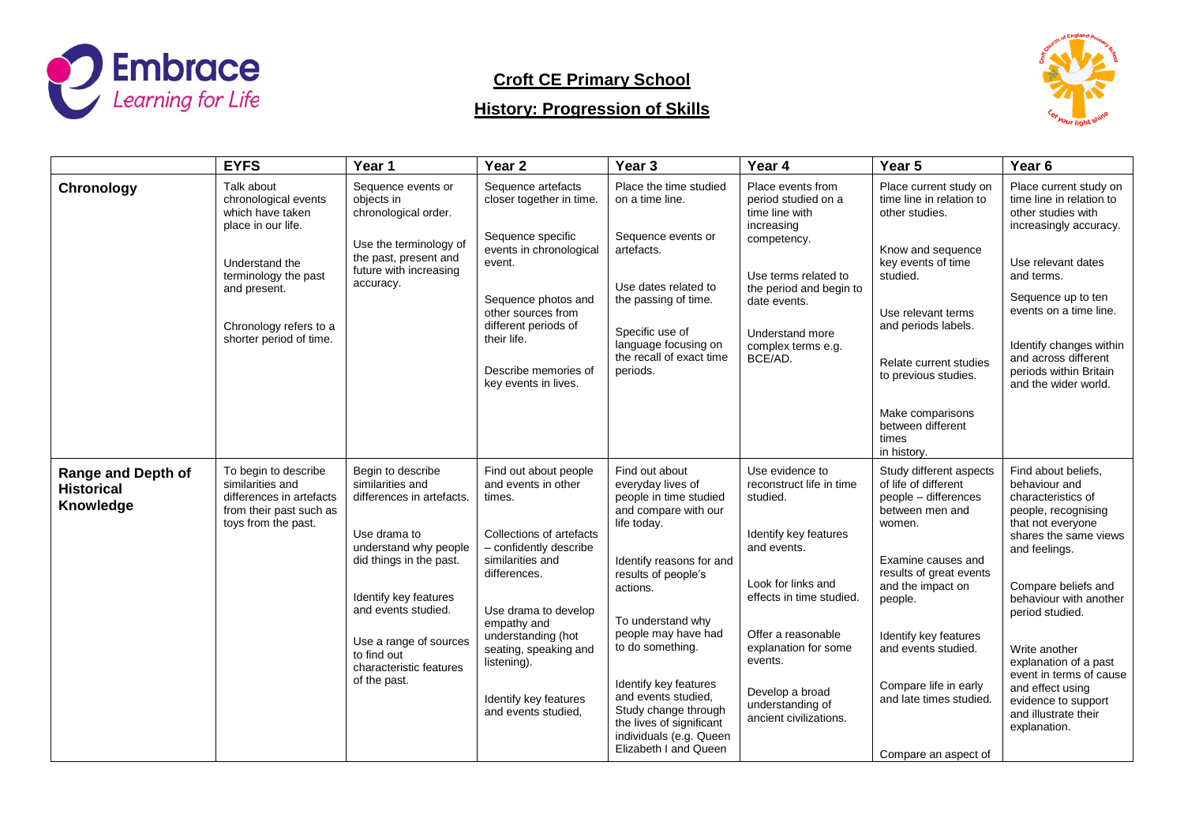

# **Croft CE Primary School**

# **History: Progression of Skills**



|                                                      | <b>EYFS</b>                                                                                                                                                                                 | Year 1                                                                                                                                                                                                                                                                     | Year <sub>2</sub>                                                                                                                                                                                                                                                                                     | Year 3                                                                                                                                                                                                                                                                                                                                                                                      | Year 4                                                                                                                                                                                                                                                                      | Year 5                                                                                                                                                                                                                                                                                                            | Year 6                                                                                                                                                                                                                                                                                                                                                                       |
|------------------------------------------------------|---------------------------------------------------------------------------------------------------------------------------------------------------------------------------------------------|----------------------------------------------------------------------------------------------------------------------------------------------------------------------------------------------------------------------------------------------------------------------------|-------------------------------------------------------------------------------------------------------------------------------------------------------------------------------------------------------------------------------------------------------------------------------------------------------|---------------------------------------------------------------------------------------------------------------------------------------------------------------------------------------------------------------------------------------------------------------------------------------------------------------------------------------------------------------------------------------------|-----------------------------------------------------------------------------------------------------------------------------------------------------------------------------------------------------------------------------------------------------------------------------|-------------------------------------------------------------------------------------------------------------------------------------------------------------------------------------------------------------------------------------------------------------------------------------------------------------------|------------------------------------------------------------------------------------------------------------------------------------------------------------------------------------------------------------------------------------------------------------------------------------------------------------------------------------------------------------------------------|
| Chronology                                           | Talk about<br>chronological events<br>which have taken<br>place in our life.<br>Understand the<br>terminology the past<br>and present.<br>Chronology refers to a<br>shorter period of time. | Sequence events or<br>objects in<br>chronological order.<br>Use the terminology of<br>the past, present and<br>future with increasing<br>accuracy.                                                                                                                         | Sequence artefacts<br>closer together in time.<br>Sequence specific<br>events in chronological<br>event.<br>Sequence photos and<br>other sources from<br>different periods of<br>their life.<br>Describe memories of<br>key events in lives.                                                          | Place the time studied<br>on a time line.<br>Sequence events or<br>artefacts.<br>Use dates related to<br>the passing of time.<br>Specific use of<br>language focusing on<br>the recall of exact time<br>periods.                                                                                                                                                                            | Place events from<br>period studied on a<br>time line with<br>increasing<br>competency.<br>Use terms related to<br>the period and begin to<br>date events.<br>Understand more<br>complex terms e.g.<br>BCE/AD.                                                              | Place current study on<br>time line in relation to<br>other studies.<br>Know and sequence<br>key events of time<br>studied.<br>Use relevant terms<br>and periods labels.<br>Relate current studies<br>to previous studies.<br>Make comparisons<br>between different<br>times<br>in history.                       | Place current study on<br>time line in relation to<br>other studies with<br>increasingly accuracy.<br>Use relevant dates<br>and terms.<br>Sequence up to ten<br>events on a time line.<br>Identify changes within<br>and across different<br>periods within Britain<br>and the wider world.                                                                                  |
| Range and Depth of<br><b>Historical</b><br>Knowledge | To begin to describe<br>similarities and<br>differences in artefacts<br>from their past such as<br>toys from the past.                                                                      | Begin to describe<br>similarities and<br>differences in artefacts.<br>Use drama to<br>understand why people<br>did things in the past.<br>Identify key features<br>and events studied.<br>Use a range of sources<br>to find out<br>characteristic features<br>of the past. | Find out about people<br>and events in other<br>times.<br>Collections of artefacts<br>- confidently describe<br>similarities and<br>differences.<br>Use drama to develop<br>empathy and<br>understanding (hot<br>seating, speaking and<br>listening).<br>Identify key features<br>and events studied. | Find out about<br>everyday lives of<br>people in time studied<br>and compare with our<br>life today.<br>Identify reasons for and<br>results of people's<br>actions.<br>To understand why<br>people may have had<br>to do something.<br>Identify key features<br>and events studied,<br>Study change through<br>the lives of significant<br>individuals (e.g. Queen<br>Elizabeth I and Queen | Use evidence to<br>reconstruct life in time<br>studied.<br>Identify key features<br>and events.<br>Look for links and<br>effects in time studied.<br>Offer a reasonable<br>explanation for some<br>events.<br>Develop a broad<br>understanding of<br>ancient civilizations. | Study different aspects<br>of life of different<br>people - differences<br>between men and<br>women.<br>Examine causes and<br>results of great events<br>and the impact on<br>people.<br>Identify key features<br>and events studied.<br>Compare life in early<br>and late times studied.<br>Compare an aspect of | Find about beliefs,<br>behaviour and<br>characteristics of<br>people, recognising<br>that not everyone<br>shares the same views<br>and feelings.<br>Compare beliefs and<br>behaviour with another<br>period studied.<br>Write another<br>explanation of a past<br>event in terms of cause<br>and effect using<br>evidence to support<br>and illustrate their<br>explanation. |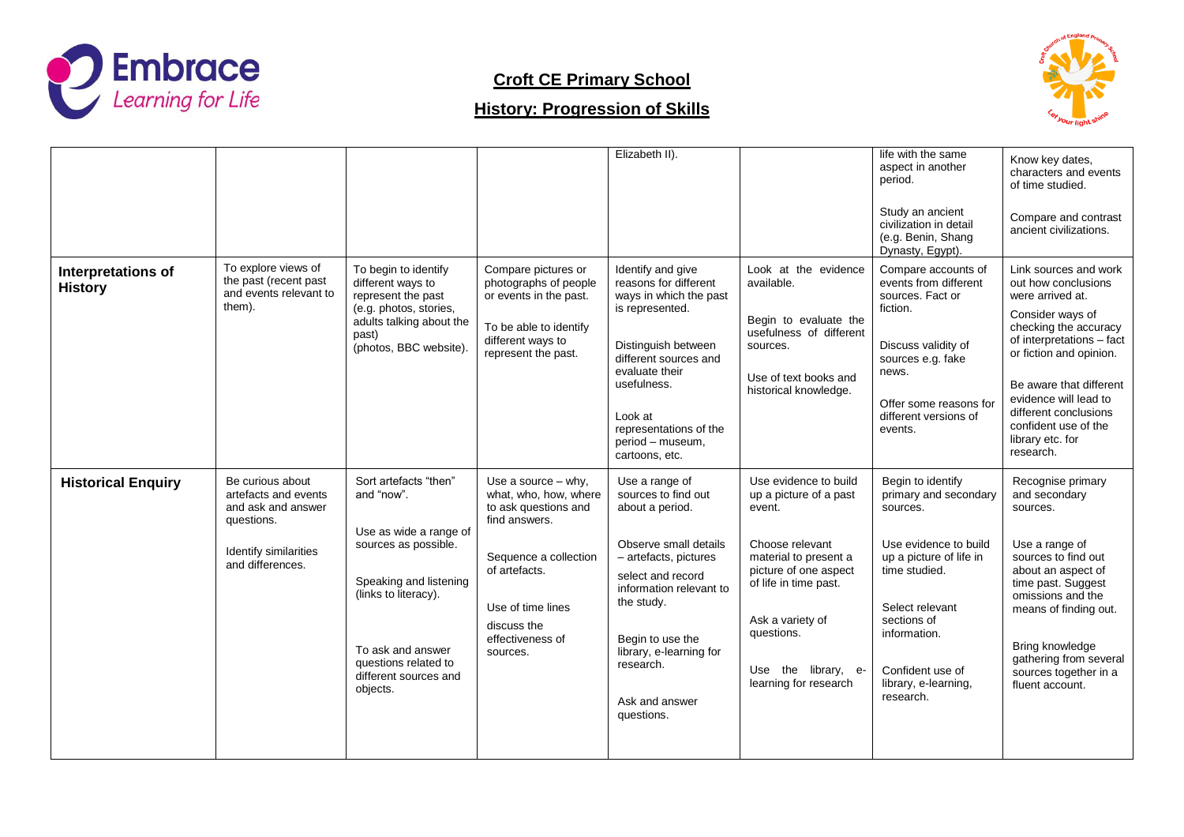

# **Croft CE Primary School**

# **History: Progression of Skills**



|                                      |                                                                                                                           |                                                                                                                                                                                                                           |                                                                                                                                                                                                       | Elizabeth II).                                                                                                                                                                                                                                                       |                                                                                                                                                                                                                                           | life with the same<br>aspect in another<br>period.<br>Study an ancient<br>civilization in detail<br>(e.g. Benin, Shang<br>Dynasty, Egypt).                                                                                             | Know key dates,<br>characters and events<br>of time studied.<br>Compare and contrast<br>ancient civilizations.                                                                                                                                                                                              |
|--------------------------------------|---------------------------------------------------------------------------------------------------------------------------|---------------------------------------------------------------------------------------------------------------------------------------------------------------------------------------------------------------------------|-------------------------------------------------------------------------------------------------------------------------------------------------------------------------------------------------------|----------------------------------------------------------------------------------------------------------------------------------------------------------------------------------------------------------------------------------------------------------------------|-------------------------------------------------------------------------------------------------------------------------------------------------------------------------------------------------------------------------------------------|----------------------------------------------------------------------------------------------------------------------------------------------------------------------------------------------------------------------------------------|-------------------------------------------------------------------------------------------------------------------------------------------------------------------------------------------------------------------------------------------------------------------------------------------------------------|
| Interpretations of<br><b>History</b> | To explore views of<br>the past (recent past<br>and events relevant to<br>them).                                          | To begin to identify<br>different ways to<br>represent the past<br>(e.g. photos, stories,<br>adults talking about the<br>past)<br>(photos, BBC website).                                                                  | Compare pictures or<br>photographs of people<br>or events in the past.<br>To be able to identify<br>different ways to<br>represent the past.                                                          | Identify and give<br>reasons for different<br>ways in which the past<br>is represented.<br>Distinguish between<br>different sources and<br>evaluate their<br>usefulness.<br>Look at<br>representations of the<br>period - museum,<br>cartoons, etc.                  | Look at the evidence<br>available.<br>Begin to evaluate the<br>usefulness of different<br>sources.<br>Use of text books and<br>historical knowledge.                                                                                      | Compare accounts of<br>events from different<br>sources. Fact or<br>fiction.<br>Discuss validity of<br>sources e.g. fake<br>news.<br>Offer some reasons for<br>different versions of<br>events.                                        | Link sources and work<br>out how conclusions<br>were arrived at.<br>Consider ways of<br>checking the accuracy<br>of interpretations - fact<br>or fiction and opinion.<br>Be aware that different<br>evidence will lead to<br>different conclusions<br>confident use of the<br>library etc. for<br>research. |
| <b>Historical Enquiry</b>            | Be curious about<br>artefacts and events<br>and ask and answer<br>questions.<br>Identify similarities<br>and differences. | Sort artefacts "then"<br>and "now".<br>Use as wide a range of<br>sources as possible.<br>Speaking and listening<br>(links to literacy).<br>To ask and answer<br>questions related to<br>different sources and<br>objects. | Use a source $-$ why,<br>what, who, how, where<br>to ask questions and<br>find answers.<br>Sequence a collection<br>of artefacts.<br>Use of time lines<br>discuss the<br>effectiveness of<br>sources. | Use a range of<br>sources to find out<br>about a period.<br>Observe small details<br>- artefacts, pictures<br>select and record<br>information relevant to<br>the study.<br>Begin to use the<br>library, e-learning for<br>research.<br>Ask and answer<br>questions. | Use evidence to build<br>up a picture of a past<br>event.<br>Choose relevant<br>material to present a<br>picture of one aspect<br>of life in time past.<br>Ask a variety of<br>questions.<br>Use the library, e-<br>learning for research | Begin to identify<br>primary and secondary<br>sources.<br>Use evidence to build<br>up a picture of life in<br>time studied.<br>Select relevant<br>sections of<br>information.<br>Confident use of<br>library, e-learning,<br>research. | Recognise primary<br>and secondary<br>sources.<br>Use a range of<br>sources to find out<br>about an aspect of<br>time past. Suggest<br>omissions and the<br>means of finding out.<br>Bring knowledge<br>gathering from several<br>sources together in a<br>fluent account.                                  |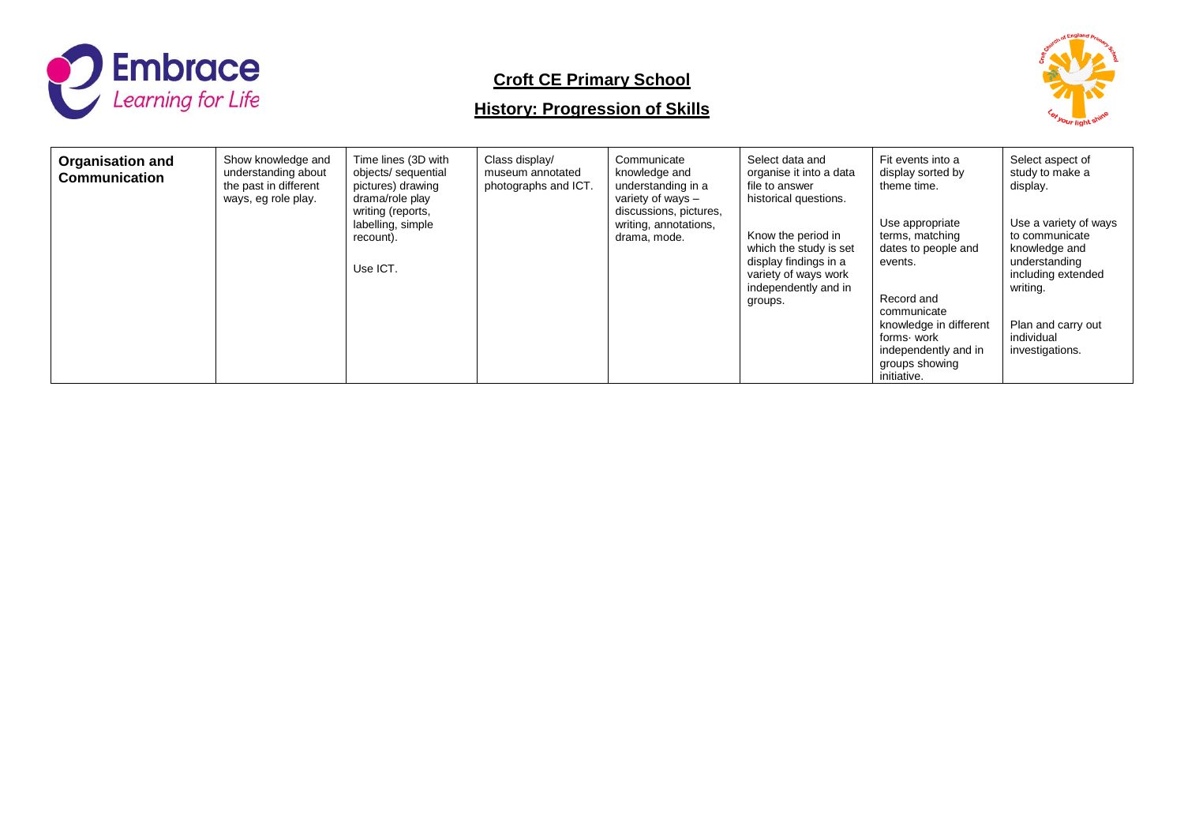

# **Croft CE Primary School**

# **History: Progression of Skills**



| <b>Organisation and</b><br><b>Communication</b> | Show knowledge and<br>understanding about<br>the past in different<br>ways, eg role play. | Time lines (3D with<br>objects/ sequential<br>pictures) drawing<br>drama/role play<br>writing (reports,<br>labelling, simple<br>recount).<br>Use ICT. | Class display/<br>museum annotated<br>photographs and ICT. | Communicate<br>knowledge and<br>understanding in a<br>variety of ways $-$<br>discussions, pictures,<br>writing, annotations,<br>drama, mode. | Select data and<br>organise it into a data<br>file to answer<br>historical questions.<br>Know the period in<br>which the study is set<br>display findings in a<br>variety of ways work<br>independently and in<br>groups. | Fit events into a<br>display sorted by<br>theme time.<br>Use appropriate<br>terms, matching<br>dates to people and<br>events.<br>Record and<br>communicate<br>knowledge in different<br>forms work<br>independently and in<br>groups showing | Select aspect of<br>study to make a<br>display.<br>Use a variety of ways<br>to communicate<br>knowledge and<br>understanding<br>including extended<br>writing.<br>Plan and carry out<br>individual<br>investigations. |
|-------------------------------------------------|-------------------------------------------------------------------------------------------|-------------------------------------------------------------------------------------------------------------------------------------------------------|------------------------------------------------------------|----------------------------------------------------------------------------------------------------------------------------------------------|---------------------------------------------------------------------------------------------------------------------------------------------------------------------------------------------------------------------------|----------------------------------------------------------------------------------------------------------------------------------------------------------------------------------------------------------------------------------------------|-----------------------------------------------------------------------------------------------------------------------------------------------------------------------------------------------------------------------|
|                                                 |                                                                                           |                                                                                                                                                       |                                                            |                                                                                                                                              |                                                                                                                                                                                                                           | initiative.                                                                                                                                                                                                                                  |                                                                                                                                                                                                                       |